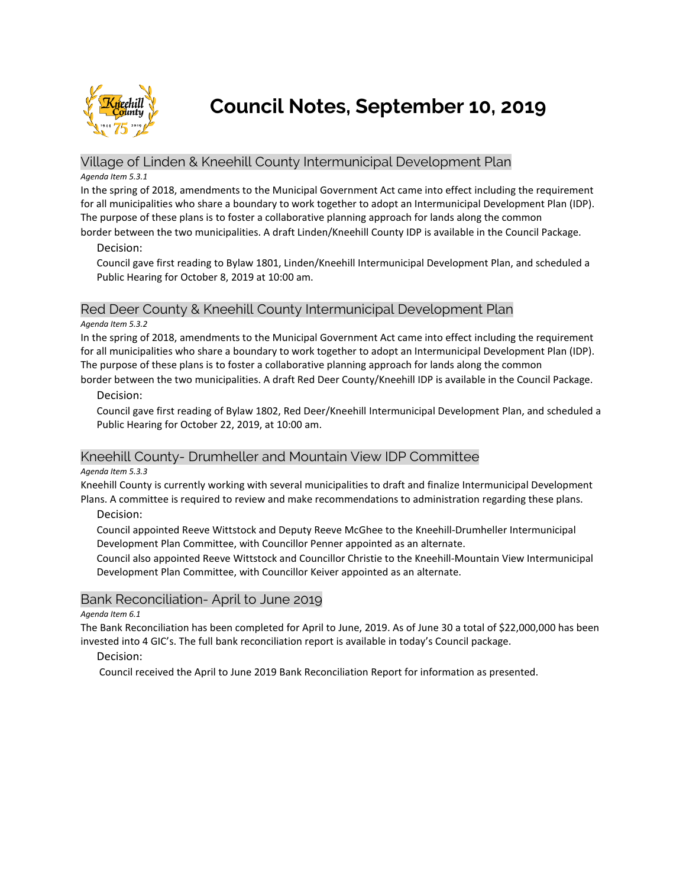

**Council Notes, September 10, 2019**

# Village of Linden & Kneehill County Intermunicipal Development Plan

#### *Agenda Item 5.3.1*

In the spring of 2018, amendments to the Municipal Government Act came into effect including the requirement for all municipalities who share a boundary to work together to adopt an Intermunicipal Development Plan (IDP). The purpose of these plans is to foster a collaborative planning approach for lands along the common

border between the two municipalities. A draft Linden/Kneehill County IDP is available in the Council Package.

### Decision:

Council gave first reading to Bylaw 1801, Linden/Kneehill Intermunicipal Development Plan, and scheduled a Public Hearing for October 8, 2019 at 10:00 am.

# Red Deer County & Kneehill County Intermunicipal Development Plan

#### *Agenda Item 5.3.2*

In the spring of 2018, amendments to the Municipal Government Act came into effect including the requirement for all municipalities who share a boundary to work together to adopt an Intermunicipal Development Plan (IDP). The purpose of these plans is to foster a collaborative planning approach for lands along the common border between the two municipalities. A draft Red Deer County/Kneehill IDP is available in the Council Package.

### Decision:

Council gave first reading of Bylaw 1802, Red Deer/Kneehill Intermunicipal Development Plan, and scheduled a Public Hearing for October 22, 2019, at 10:00 am.

## Kneehill County- Drumheller and Mountain View IDP Committee

### *Agenda Item 5.3.3*

Kneehill County is currently working with several municipalities to draft and finalize Intermunicipal Development Plans. A committee is required to review and make recommendations to administration regarding these plans.

Decision:

Council appointed Reeve Wittstock and Deputy Reeve McGhee to the Kneehill-Drumheller Intermunicipal Development Plan Committee, with Councillor Penner appointed as an alternate.

Council also appointed Reeve Wittstock and Councillor Christie to the Kneehill-Mountain View Intermunicipal Development Plan Committee, with Councillor Keiver appointed as an alternate.

## Bank Reconciliation- April to June 2019

#### *Agenda Item 6.1*

The Bank Reconciliation has been completed for April to June, 2019. As of June 30 a total of \$22,000,000 has been invested into 4 GIC's. The full bank reconciliation report is available in today's Council package.

### Decision:

Council received the April to June 2019 Bank Reconciliation Report for information as presented.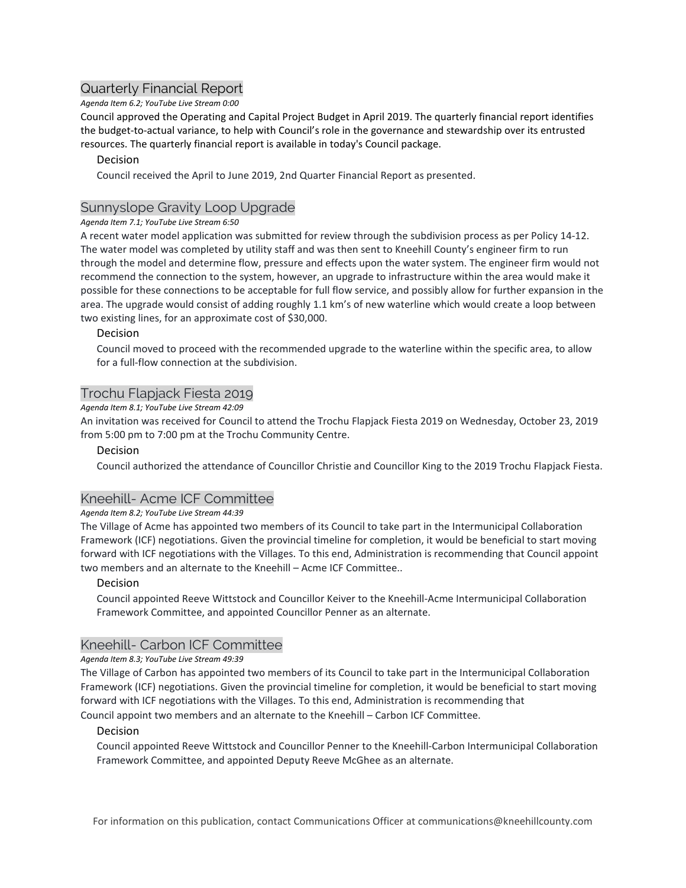# Quarterly Financial Report

## *Agenda Item 6.2; YouTube Live Stream 0:00*

Council approved the Operating and Capital Project Budget in April 2019. The quarterly financial report identifies the budget-to-actual variance, to help with Council's role in the governance and stewardship over its entrusted resources. The quarterly financial report is available in today's Council package.

### Decision

Council received the April to June 2019, 2nd Quarter Financial Report as presented.

# Sunnyslope Gravity Loop Upgrade

### *Agenda Item 7.1; YouTube Live Stream 6:50*

A recent water model application was submitted for review through the subdivision process as per Policy 14-12. The water model was completed by utility staff and was then sent to Kneehill County's engineer firm to run through the model and determine flow, pressure and effects upon the water system. The engineer firm would not recommend the connection to the system, however, an upgrade to infrastructure within the area would make it possible for these connections to be acceptable for full flow service, and possibly allow for further expansion in the area. The upgrade would consist of adding roughly 1.1 km's of new waterline which would create a loop between two existing lines, for an approximate cost of \$30,000.

### Decision

Council moved to proceed with the recommended upgrade to the waterline within the specific area, to allow for a full-flow connection at the subdivision.

# Trochu Flapjack Fiesta 2019

### *Agenda Item 8.1; YouTube Live Stream 42:09*

An invitation was received for Council to attend the Trochu Flapjack Fiesta 2019 on Wednesday, October 23, 2019 from 5:00 pm to 7:00 pm at the Trochu Community Centre.

### Decision

Council authorized the attendance of Councillor Christie and Councillor King to the 2019 Trochu Flapjack Fiesta.

## Kneehill- Acme ICF Committee

### *Agenda Item 8.2; YouTube Live Stream 44:39*

The Village of Acme has appointed two members of its Council to take part in the Intermunicipal Collaboration Framework (ICF) negotiations. Given the provincial timeline for completion, it would be beneficial to start moving forward with ICF negotiations with the Villages. To this end, Administration is recommending that Council appoint two members and an alternate to the Kneehill – Acme ICF Committee..

### Decision

Council appointed Reeve Wittstock and Councillor Keiver to the Kneehill-Acme Intermunicipal Collaboration Framework Committee, and appointed Councillor Penner as an alternate.

## Kneehill- Carbon ICF Committee

### *Agenda Item 8.3; YouTube Live Stream 49:39*

The Village of Carbon has appointed two members of its Council to take part in the Intermunicipal Collaboration Framework (ICF) negotiations. Given the provincial timeline for completion, it would be beneficial to start moving forward with ICF negotiations with the Villages. To this end, Administration is recommending that

Council appoint two members and an alternate to the Kneehill – Carbon ICF Committee.

### Decision

Council appointed Reeve Wittstock and Councillor Penner to the Kneehill-Carbon Intermunicipal Collaboration Framework Committee, and appointed Deputy Reeve McGhee as an alternate.